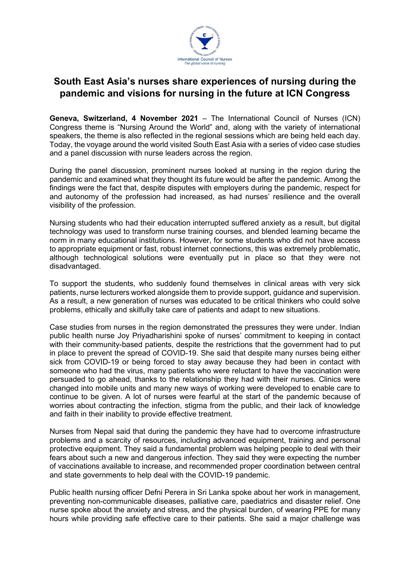

## **South East Asia's nurses share experiences of nursing during the pandemic and visions for nursing in the future at ICN Congress**

**Geneva, Switzerland, 4 November 2021** – The International Council of Nurses (ICN) Congress theme is "Nursing Around the World" and, along with the variety of international speakers, the theme is also reflected in the regional sessions which are being held each day. Today, the voyage around the world visited South East Asia with a series of video case studies and a panel discussion with nurse leaders across the region.

During the panel discussion, prominent nurses looked at nursing in the region during the pandemic and examined what they thought its future would be after the pandemic. Among the findings were the fact that, despite disputes with employers during the pandemic, respect for and autonomy of the profession had increased, as had nurses' resilience and the overall visibility of the profession.

Nursing students who had their education interrupted suffered anxiety as a result, but digital technology was used to transform nurse training courses, and blended learning became the norm in many educational institutions. However, for some students who did not have access to appropriate equipment or fast, robust internet connections, this was extremely problematic, although technological solutions were eventually put in place so that they were not disadvantaged.

To support the students, who suddenly found themselves in clinical areas with very sick patients, nurse lecturers worked alongside them to provide support, guidance and supervision. As a result, a new generation of nurses was educated to be critical thinkers who could solve problems, ethically and skilfully take care of patients and adapt to new situations.

Case studies from nurses in the region demonstrated the pressures they were under. Indian public health nurse Joy Priyadharishini spoke of nurses' commitment to keeping in contact with their community-based patients, despite the restrictions that the government had to put in place to prevent the spread of COVID-19. She said that despite many nurses being either sick from COVID-19 or being forced to stay away because they had been in contact with someone who had the virus, many patients who were reluctant to have the vaccination were persuaded to go ahead, thanks to the relationship they had with their nurses. Clinics were changed into mobile units and many new ways of working were developed to enable care to continue to be given. A lot of nurses were fearful at the start of the pandemic because of worries about contracting the infection, stigma from the public, and their lack of knowledge and faith in their inability to provide effective treatment.

Nurses from Nepal said that during the pandemic they have had to overcome infrastructure problems and a scarcity of resources, including advanced equipment, training and personal protective equipment. They said a fundamental problem was helping people to deal with their fears about such a new and dangerous infection. They said they were expecting the number of vaccinations available to increase, and recommended proper coordination between central and state governments to help deal with the COVID-19 pandemic.

Public health nursing officer Defni Perera in Sri Lanka spoke about her work in management, preventing non-communicable diseases, palliative care, paediatrics and disaster relief. One nurse spoke about the anxiety and stress, and the physical burden, of wearing PPE for many hours while providing safe effective care to their patients. She said a major challenge was